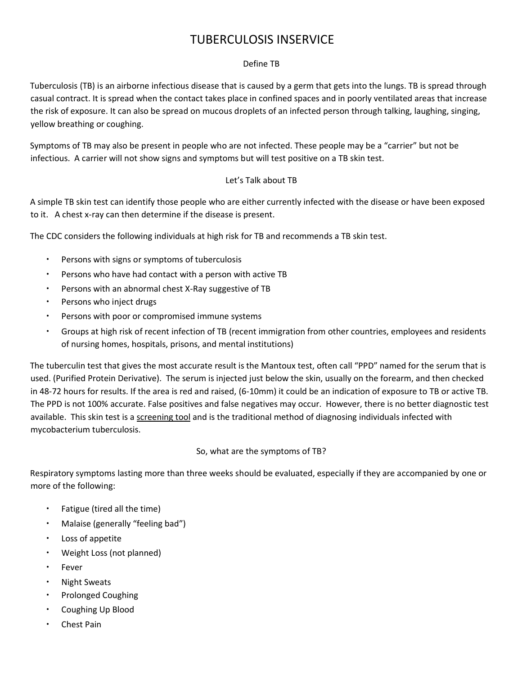# TUBERCULOSIS INSERVICE

# Define TB

Tuberculosis (TB) is an airborne infectious disease that is caused by a germ that gets into the lungs. TB is spread through casual contract. It is spread when the contact takes place in confined spaces and in poorly ventilated areas that increase the risk of exposure. It can also be spread on mucous droplets of an infected person through talking, laughing, singing, yellow breathing or coughing.

Symptoms of TB may also be present in people who are not infected. These people may be a "carrier" but not be infectious. A carrier will not show signs and symptoms but will test positive on a TB skin test.

# Let's Talk about TB

A simple TB skin test can identify those people who are either currently infected with the disease or have been exposed to it. A chest x‐ray can then determine if the disease is present.

The CDC considers the following individuals at high risk for TB and recommends a TB skin test.

- Persons with signs or symptoms of tuberculosis
- Persons who have had contact with a person with active TB
- Persons with an abnormal chest X‐Ray suggestive of TB
- Persons who inject drugs
- Persons with poor or compromised immune systems
- Groups at high risk of recent infection of TB (recent immigration from other countries, employees and residents of nursing homes, hospitals, prisons, and mental institutions)

The tuberculin test that gives the most accurate result is the Mantoux test, often call "PPD" named for the serum that is used. (Purified Protein Derivative). The serum is injected just below the skin, usually on the forearm, and then checked in 48‐72 hours for results. If the area is red and raised, (6‐10mm) it could be an indication of exposure to TB or active TB. The PPD is not 100% accurate. False positives and false negatives may occur. However, there is no better diagnostic test available. This skin test is a screening tool and is the traditional method of diagnosing individuals infected with mycobacterium tuberculosis.

## So, what are the symptoms of TB?

Respiratory symptoms lasting more than three weeks should be evaluated, especially if they are accompanied by one or more of the following:

- Fatigue (tired all the time)
- Malaise (generally "feeling bad")
- Loss of appetite
- Weight Loss (not planned)
- Fever
- Night Sweats
- Prolonged Coughing
- Coughing Up Blood
- Chest Pain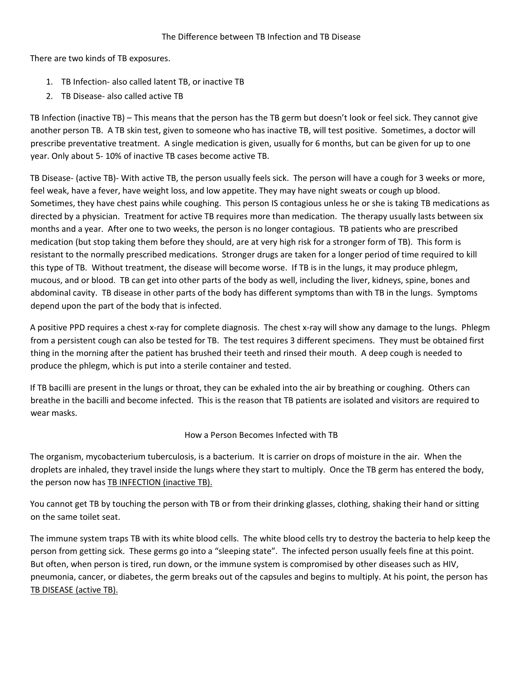There are two kinds of TB exposures.

- 1. TB Infection‐ also called latent TB, or inactive TB
- 2. TB Disease‐ also called active TB

TB Infection (inactive TB) – This means that the person has the TB germ but doesn't look or feel sick. They cannot give another person TB. A TB skin test, given to someone who has inactive TB, will test positive. Sometimes, a doctor will prescribe preventative treatment. A single medication is given, usually for 6 months, but can be given for up to one year. Only about 5‐ 10% of inactive TB cases become active TB.

TB Disease‐ (active TB)‐ With active TB, the person usually feels sick. The person will have a cough for 3 weeks or more, feel weak, have a fever, have weight loss, and low appetite. They may have night sweats or cough up blood. Sometimes, they have chest pains while coughing. This person IS contagious unless he or she is taking TB medications as directed by a physician. Treatment for active TB requires more than medication. The therapy usually lasts between six months and a year. After one to two weeks, the person is no longer contagious. TB patients who are prescribed medication (but stop taking them before they should, are at very high risk for a stronger form of TB). This form is resistant to the normally prescribed medications. Stronger drugs are taken for a longer period of time required to kill this type of TB. Without treatment, the disease will become worse. If TB is in the lungs, it may produce phlegm, mucous, and or blood. TB can get into other parts of the body as well, including the liver, kidneys, spine, bones and abdominal cavity. TB disease in other parts of the body has different symptoms than with TB in the lungs. Symptoms depend upon the part of the body that is infected.

A positive PPD requires a chest x-ray for complete diagnosis. The chest x-ray will show any damage to the lungs. Phlegm from a persistent cough can also be tested for TB. The test requires 3 different specimens. They must be obtained first thing in the morning after the patient has brushed their teeth and rinsed their mouth. A deep cough is needed to produce the phlegm, which is put into a sterile container and tested.

If TB bacilli are present in the lungs or throat, they can be exhaled into the air by breathing or coughing. Others can breathe in the bacilli and become infected. This is the reason that TB patients are isolated and visitors are required to wear masks.

## How a Person Becomes Infected with TB

The organism, mycobacterium tuberculosis, is a bacterium. It is carrier on drops of moisture in the air. When the droplets are inhaled, they travel inside the lungs where they start to multiply. Once the TB germ has entered the body, the person now has TB INFECTION (inactive TB).

You cannot get TB by touching the person with TB or from their drinking glasses, clothing, shaking their hand or sitting on the same toilet seat.

The immune system traps TB with its white blood cells. The white blood cells try to destroy the bacteria to help keep the person from getting sick. These germs go into a "sleeping state". The infected person usually feels fine at this point. But often, when person is tired, run down, or the immune system is compromised by other diseases such as HIV, pneumonia, cancer, or diabetes, the germ breaks out of the capsules and begins to multiply. At his point, the person has TB DISEASE (active TB).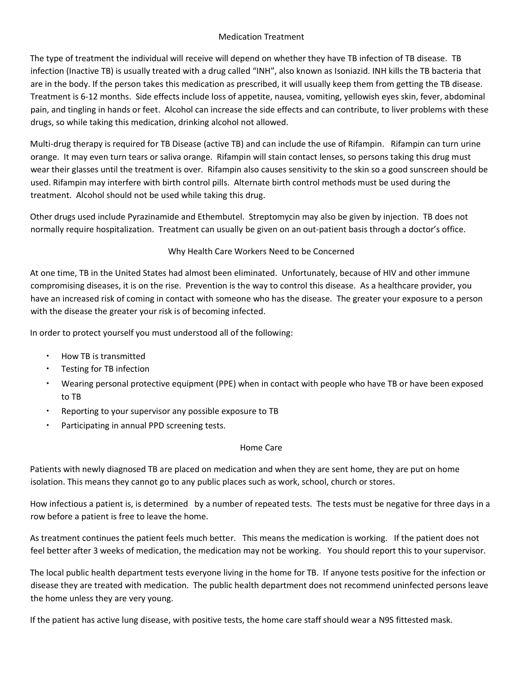#### Medication Treatment

The type of treatment the individual will receive will depend on whether they have TB infection of TB disease. TB infection (Inactive TB) is usually treated with a drug called "INH", also known as Isoniazid. INH kills the TB bacteria that are in the body. If the person takes this medication as prescribed, it will usually keep them from getting the TB disease. Treatment is 6‐12 months. Side effects include loss of appetite, nausea, vomiting, yellowish eyes skin, fever, abdominal pain, and tingling in hands or feet. Alcohol can increase the side effects and can contribute, to liver problems with these drugs, so while taking this medication, drinking alcohol not allowed.

Multi-drug therapy is required for TB Disease (active TB) and can include the use of Rifampin. Rifampin can turn urine orange. It may even turn tears or saliva orange. Rifampin will stain contact lenses, so persons taking this drug must wear their glasses until the treatment is over. Rifampin also causes sensitivity to the skin so a good sunscreen should be used. Rifampin may interfere with birth control pills. Alternate birth control methods must be used during the treatment. Alcohol should not be used while taking this drug.

Other drugs used include Pyrazinamide and Ethembutel. Streptomycin may also be given by injection. TB does not normally require hospitalization. Treatment can usually be given on an out-patient basis through a doctor's office.

## Why Health Care Workers Need to be Concerned

At one time, TB in the United States had almost been eliminated. Unfortunately, because of HIV and other immune compromising diseases, it is on the rise. Prevention is the way to control this disease. As a healthcare provider, you have an increased risk of coming in contact with someone who has the disease. The greater your exposure to a person with the disease the greater your risk is of becoming infected.

In order to protect yourself you must understood all of the following:

- How TB is transmitted
- Testing for TB infection
- Wearing personal protective equipment (PPE) when in contact with people who have TB or have been exposed to TB
- Reporting to your supervisor any possible exposure to TB
- Participating in annual PPD screening tests.

## Home Care

Patients with newly diagnosed TB are placed on medication and when they are sent home, they are put on home isolation. This means they cannot go to any public places such as work, school, church or stores.

How infectious a patient is, is determined by a number of repeated tests. The tests must be negative for three days in a row before a patient is free to leave the home.

As treatment continues the patient feels much better. This means the medication is working. If the patient does not feel better after 3 weeks of medication, the medication may not be working. You should report this to your supervisor.

The local public health department tests everyone living in the home for TB. If anyone tests positive for the infection or disease they are treated with medication. The public health department does not recommend uninfected persons leave the home unless they are very young.

If the patient has active lung disease, with positive tests, the home care staff should wear a N9S fittested mask.